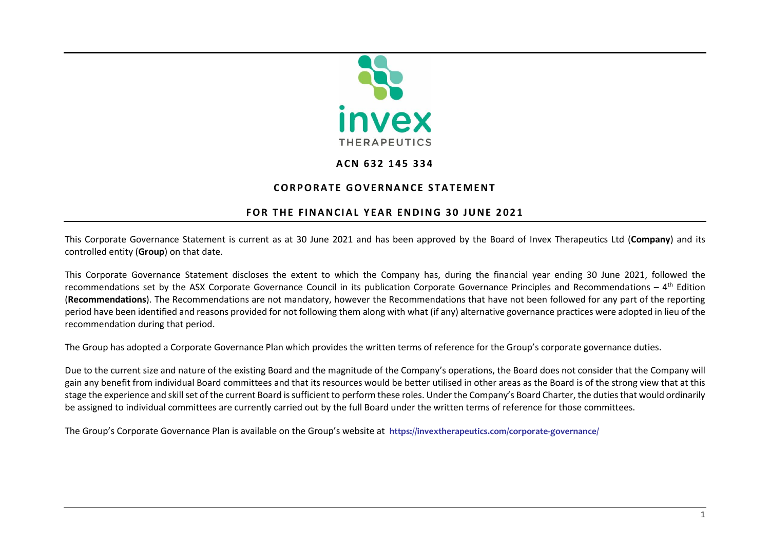

## **A C N 6 3 2 1 4 5 3 3 4**

## **CORPORATE GOVERNANCE STATEMENT**

## **FOR THE FINANCIAL YEAR ENDING 30 JUNE 2021**

This Corporate Governance Statement is current as at 30 June 2021 and has been approved by the Board of Invex Therapeutics Ltd (**Company**) and its controlled entity (**Group**) on that date.

This Corporate Governance Statement discloses the extent to which the Company has, during the financial year ending 30 June 2021, followed the recommendations set by the ASX Corporate Governance Council in its publication Corporate Governance Principles and Recommendations – 4<sup>th</sup> Edition (**Recommendations**). The Recommendations are not mandatory, however the Recommendations that have not been followed for any part of the reporting period have been identified and reasons provided for not following them along with what (if any) alternative governance practices were adopted in lieu of the recommendation during that period.

The Group has adopted a Corporate Governance Plan which provides the written terms of reference for the Group's corporate governance duties.

Due to the current size and nature of the existing Board and the magnitude of the Company's operations, the Board does not consider that the Company will gain any benefit from individual Board committees and that its resources would be better utilised in other areas as the Board is of the strong view that at this stage the experience and skill set of the current Board is sufficient to perform these roles. Under the Company's Board Charter, the duties that would ordinarily be assigned to individual committees are currently carried out by the full Board under the written terms of reference for those committees.

The Group's Corporate Governance Plan is available on the Group's website at **<https://invextherapeutics.com/corporate-governance/>**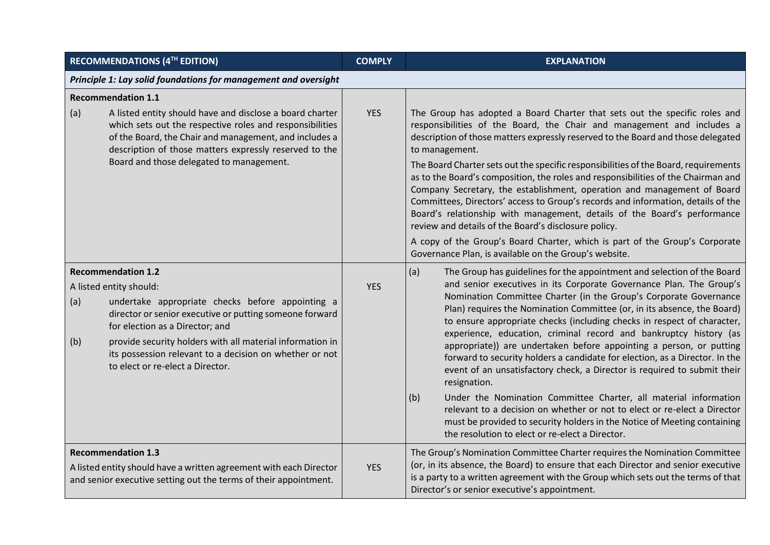| <b>RECOMMENDATIONS (4TH EDITION)</b>                                                                                                                                                                                                                                                                                                                                             | <b>COMPLY</b> | <b>EXPLANATION</b>                                                                                                                                                                                                                                                                                                                                                                                                                                                                                                                                                                                                                                                                                                                                                                                                                                                                                                                                                                            |
|----------------------------------------------------------------------------------------------------------------------------------------------------------------------------------------------------------------------------------------------------------------------------------------------------------------------------------------------------------------------------------|---------------|-----------------------------------------------------------------------------------------------------------------------------------------------------------------------------------------------------------------------------------------------------------------------------------------------------------------------------------------------------------------------------------------------------------------------------------------------------------------------------------------------------------------------------------------------------------------------------------------------------------------------------------------------------------------------------------------------------------------------------------------------------------------------------------------------------------------------------------------------------------------------------------------------------------------------------------------------------------------------------------------------|
| Principle 1: Lay solid foundations for management and oversight                                                                                                                                                                                                                                                                                                                  |               |                                                                                                                                                                                                                                                                                                                                                                                                                                                                                                                                                                                                                                                                                                                                                                                                                                                                                                                                                                                               |
| <b>Recommendation 1.1</b><br>A listed entity should have and disclose a board charter<br>(a)<br>which sets out the respective roles and responsibilities<br>of the Board, the Chair and management, and includes a<br>description of those matters expressly reserved to the<br>Board and those delegated to management.                                                         | <b>YES</b>    | The Group has adopted a Board Charter that sets out the specific roles and<br>responsibilities of the Board, the Chair and management and includes a<br>description of those matters expressly reserved to the Board and those delegated<br>to management.<br>The Board Charter sets out the specific responsibilities of the Board, requirements<br>as to the Board's composition, the roles and responsibilities of the Chairman and<br>Company Secretary, the establishment, operation and management of Board<br>Committees, Directors' access to Group's records and information, details of the<br>Board's relationship with management, details of the Board's performance<br>review and details of the Board's disclosure policy.<br>A copy of the Group's Board Charter, which is part of the Group's Corporate<br>Governance Plan, is available on the Group's website.                                                                                                             |
| <b>Recommendation 1.2</b><br>A listed entity should:<br>undertake appropriate checks before appointing a<br>(a)<br>director or senior executive or putting someone forward<br>for election as a Director; and<br>provide security holders with all material information in<br>(b)<br>its possession relevant to a decision on whether or not<br>to elect or re-elect a Director. | <b>YES</b>    | (a)<br>The Group has guidelines for the appointment and selection of the Board<br>and senior executives in its Corporate Governance Plan. The Group's<br>Nomination Committee Charter (in the Group's Corporate Governance<br>Plan) requires the Nomination Committee (or, in its absence, the Board)<br>to ensure appropriate checks (including checks in respect of character,<br>experience, education, criminal record and bankruptcy history (as<br>appropriate)) are undertaken before appointing a person, or putting<br>forward to security holders a candidate for election, as a Director. In the<br>event of an unsatisfactory check, a Director is required to submit their<br>resignation.<br>Under the Nomination Committee Charter, all material information<br>(b)<br>relevant to a decision on whether or not to elect or re-elect a Director<br>must be provided to security holders in the Notice of Meeting containing<br>the resolution to elect or re-elect a Director. |
| <b>Recommendation 1.3</b><br>A listed entity should have a written agreement with each Director<br>and senior executive setting out the terms of their appointment.                                                                                                                                                                                                              | <b>YES</b>    | The Group's Nomination Committee Charter requires the Nomination Committee<br>(or, in its absence, the Board) to ensure that each Director and senior executive<br>is a party to a written agreement with the Group which sets out the terms of that<br>Director's or senior executive's appointment.                                                                                                                                                                                                                                                                                                                                                                                                                                                                                                                                                                                                                                                                                         |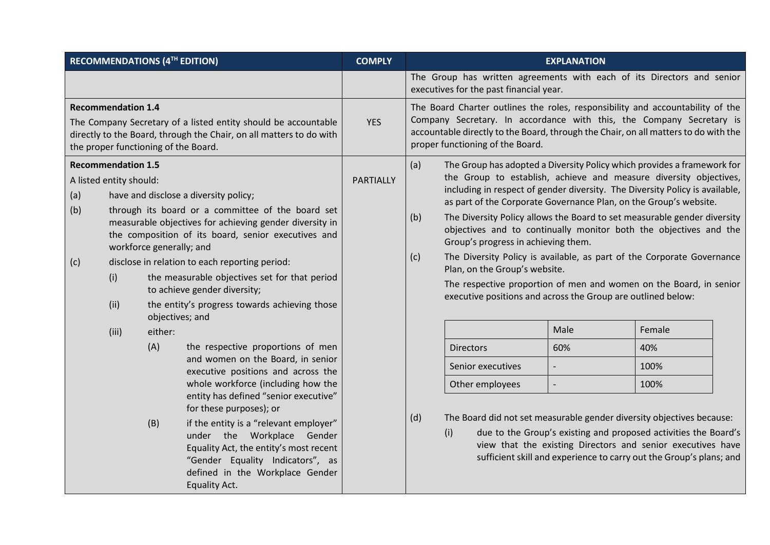|                                                                                                                                                                                                            |                                                                                                                                                                                                                                                                                                                                                                                                                                                                                                                                            |            | RECOMMENDATIONS (4TH EDITION)                                                                                                                                                                                                                                                                                                                                                                                                    | <b>COMPLY</b>                                                                                                                                                                                                                                                                                                                                                                                                                                                                                                                                                                                                                                                                                                                                                                     | <b>EXPLANATION</b>                                                                                                                                                                                                                                                                                                                                                                                                 |
|------------------------------------------------------------------------------------------------------------------------------------------------------------------------------------------------------------|--------------------------------------------------------------------------------------------------------------------------------------------------------------------------------------------------------------------------------------------------------------------------------------------------------------------------------------------------------------------------------------------------------------------------------------------------------------------------------------------------------------------------------------------|------------|----------------------------------------------------------------------------------------------------------------------------------------------------------------------------------------------------------------------------------------------------------------------------------------------------------------------------------------------------------------------------------------------------------------------------------|-----------------------------------------------------------------------------------------------------------------------------------------------------------------------------------------------------------------------------------------------------------------------------------------------------------------------------------------------------------------------------------------------------------------------------------------------------------------------------------------------------------------------------------------------------------------------------------------------------------------------------------------------------------------------------------------------------------------------------------------------------------------------------------|--------------------------------------------------------------------------------------------------------------------------------------------------------------------------------------------------------------------------------------------------------------------------------------------------------------------------------------------------------------------------------------------------------------------|
|                                                                                                                                                                                                            |                                                                                                                                                                                                                                                                                                                                                                                                                                                                                                                                            |            |                                                                                                                                                                                                                                                                                                                                                                                                                                  |                                                                                                                                                                                                                                                                                                                                                                                                                                                                                                                                                                                                                                                                                                                                                                                   | The Group has written agreements with each of its Directors and senior<br>executives for the past financial year.                                                                                                                                                                                                                                                                                                  |
| <b>Recommendation 1.4</b><br>The Company Secretary of a listed entity should be accountable<br>directly to the Board, through the Chair, on all matters to do with<br>the proper functioning of the Board. |                                                                                                                                                                                                                                                                                                                                                                                                                                                                                                                                            | <b>YES</b> | The Board Charter outlines the roles, responsibility and accountability of the<br>Company Secretary. In accordance with this, the Company Secretary is<br>accountable directly to the Board, through the Chair, on all matters to do with the<br>proper functioning of the Board.                                                                                                                                                |                                                                                                                                                                                                                                                                                                                                                                                                                                                                                                                                                                                                                                                                                                                                                                                   |                                                                                                                                                                                                                                                                                                                                                                                                                    |
| (a)<br>(b)<br>(c)                                                                                                                                                                                          | <b>Recommendation 1.5</b><br>A listed entity should:<br>have and disclose a diversity policy;<br>through its board or a committee of the board set<br>measurable objectives for achieving gender diversity in<br>the composition of its board, senior executives and<br>workforce generally; and<br>disclose in relation to each reporting period:<br>the measurable objectives set for that period<br>(i)<br>to achieve gender diversity;<br>(ii)<br>the entity's progress towards achieving those<br>objectives; and<br>either:<br>(iii) |            | <b>PARTIALLY</b>                                                                                                                                                                                                                                                                                                                                                                                                                 | (a)<br>The Group has adopted a Diversity Policy which provides a framework for<br>the Group to establish, achieve and measure diversity objectives,<br>including in respect of gender diversity. The Diversity Policy is available,<br>as part of the Corporate Governance Plan, on the Group's website.<br>The Diversity Policy allows the Board to set measurable gender diversity<br>(b)<br>objectives and to continually monitor both the objectives and the<br>Group's progress in achieving them.<br>The Diversity Policy is available, as part of the Corporate Governance<br>(c)<br>Plan, on the Group's website.<br>The respective proportion of men and women on the Board, in senior<br>executive positions and across the Group are outlined below:<br>Male<br>Female |                                                                                                                                                                                                                                                                                                                                                                                                                    |
|                                                                                                                                                                                                            |                                                                                                                                                                                                                                                                                                                                                                                                                                                                                                                                            | (A)<br>(B) | the respective proportions of men<br>and women on the Board, in senior<br>executive positions and across the<br>whole workforce (including how the<br>entity has defined "senior executive"<br>for these purposes); or<br>if the entity is a "relevant employer"<br>under the Workplace Gender<br>Equality Act, the entity's most recent<br>"Gender Equality Indicators", as<br>defined in the Workplace Gender<br>Equality Act. |                                                                                                                                                                                                                                                                                                                                                                                                                                                                                                                                                                                                                                                                                                                                                                                   | 60%<br>40%<br><b>Directors</b><br>Senior executives<br>100%<br>Other employees<br>100%<br>$\overline{\phantom{a}}$<br>(d)<br>The Board did not set measurable gender diversity objectives because:<br>due to the Group's existing and proposed activities the Board's<br>(i)<br>view that the existing Directors and senior executives have<br>sufficient skill and experience to carry out the Group's plans; and |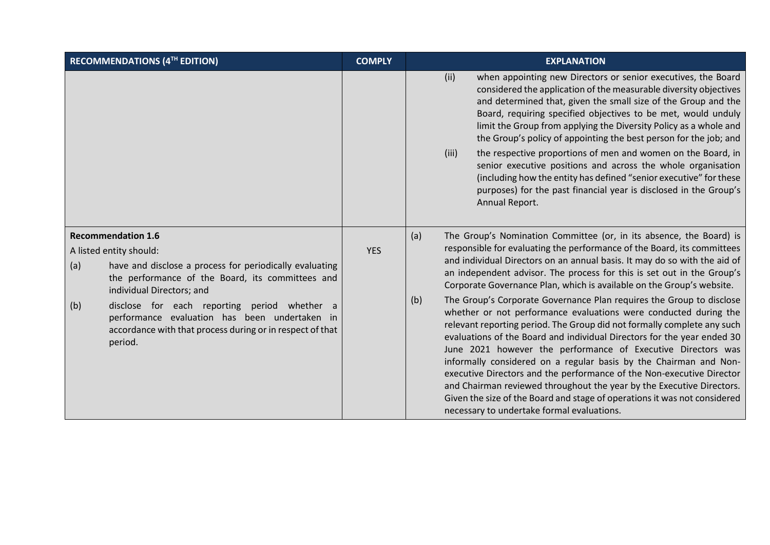| RECOMMENDATIONS (4TH EDITION)                                                                                                                                                                                                                                                                                                                                                           | <b>COMPLY</b> | <b>EXPLANATION</b>                                                                                                                                                                                                                                                                                                                                                                                                                                                                                                                                                                                                                                                                                                                                                                                                                                                                                                                                                                                                                                                                                               |
|-----------------------------------------------------------------------------------------------------------------------------------------------------------------------------------------------------------------------------------------------------------------------------------------------------------------------------------------------------------------------------------------|---------------|------------------------------------------------------------------------------------------------------------------------------------------------------------------------------------------------------------------------------------------------------------------------------------------------------------------------------------------------------------------------------------------------------------------------------------------------------------------------------------------------------------------------------------------------------------------------------------------------------------------------------------------------------------------------------------------------------------------------------------------------------------------------------------------------------------------------------------------------------------------------------------------------------------------------------------------------------------------------------------------------------------------------------------------------------------------------------------------------------------------|
|                                                                                                                                                                                                                                                                                                                                                                                         |               | (ii)<br>when appointing new Directors or senior executives, the Board<br>considered the application of the measurable diversity objectives<br>and determined that, given the small size of the Group and the<br>Board, requiring specified objectives to be met, would unduly<br>limit the Group from applying the Diversity Policy as a whole and<br>the Group's policy of appointing the best person for the job; and<br>the respective proportions of men and women on the Board, in<br>(iii)<br>senior executive positions and across the whole organisation<br>(including how the entity has defined "senior executive" for these<br>purposes) for the past financial year is disclosed in the Group's<br>Annual Report.                                                                                                                                                                                                                                                                                                                                                                                    |
| <b>Recommendation 1.6</b><br>A listed entity should:<br>have and disclose a process for periodically evaluating<br>(a)<br>the performance of the Board, its committees and<br>individual Directors; and<br>(b)<br>disclose for each reporting period whether a<br>performance evaluation has been undertaken in<br>accordance with that process during or in respect of that<br>period. | <b>YES</b>    | The Group's Nomination Committee (or, in its absence, the Board) is<br>(a)<br>responsible for evaluating the performance of the Board, its committees<br>and individual Directors on an annual basis. It may do so with the aid of<br>an independent advisor. The process for this is set out in the Group's<br>Corporate Governance Plan, which is available on the Group's website.<br>The Group's Corporate Governance Plan requires the Group to disclose<br>(b)<br>whether or not performance evaluations were conducted during the<br>relevant reporting period. The Group did not formally complete any such<br>evaluations of the Board and individual Directors for the year ended 30<br>June 2021 however the performance of Executive Directors was<br>informally considered on a regular basis by the Chairman and Non-<br>executive Directors and the performance of the Non-executive Director<br>and Chairman reviewed throughout the year by the Executive Directors.<br>Given the size of the Board and stage of operations it was not considered<br>necessary to undertake formal evaluations. |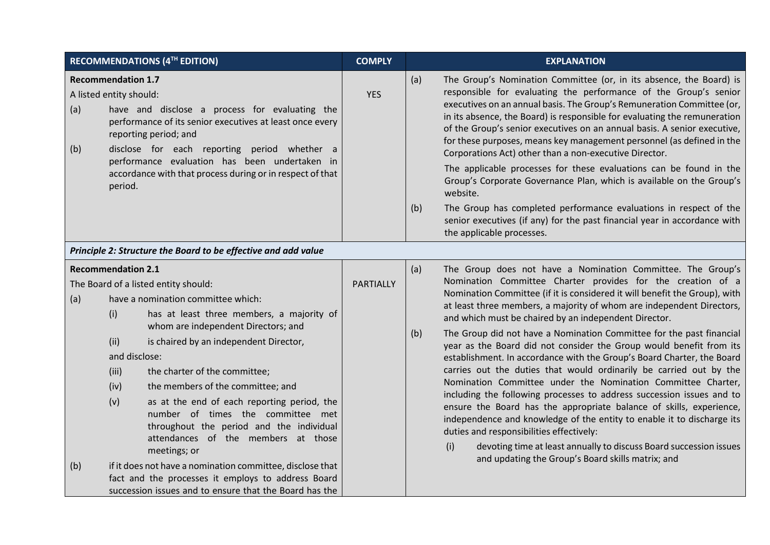|            |                                                                                   | RECOMMENDATIONS (4TH EDITION)                                                                                                                                                                                                                                                                                                                                                                                                                                                                                                                                                                                                                      | <b>COMPLY</b> |            | <b>EXPLANATION</b>                                                                                                                                                                                                                                                                                                                                                                                                                                                                                                                                                                                                                                                                                                                                                                                                                                                                                                                                                                                                                                                                                                |
|------------|-----------------------------------------------------------------------------------|----------------------------------------------------------------------------------------------------------------------------------------------------------------------------------------------------------------------------------------------------------------------------------------------------------------------------------------------------------------------------------------------------------------------------------------------------------------------------------------------------------------------------------------------------------------------------------------------------------------------------------------------------|---------------|------------|-------------------------------------------------------------------------------------------------------------------------------------------------------------------------------------------------------------------------------------------------------------------------------------------------------------------------------------------------------------------------------------------------------------------------------------------------------------------------------------------------------------------------------------------------------------------------------------------------------------------------------------------------------------------------------------------------------------------------------------------------------------------------------------------------------------------------------------------------------------------------------------------------------------------------------------------------------------------------------------------------------------------------------------------------------------------------------------------------------------------|
| (a)<br>(b) | <b>Recommendation 1.7</b><br>A listed entity should:<br>period.                   | have and disclose a process for evaluating the<br>performance of its senior executives at least once every<br>reporting period; and<br>disclose for each reporting period whether a<br>performance evaluation has been undertaken in<br>accordance with that process during or in respect of that                                                                                                                                                                                                                                                                                                                                                  | <b>YES</b>    | (a)<br>(b) | The Group's Nomination Committee (or, in its absence, the Board) is<br>responsible for evaluating the performance of the Group's senior<br>executives on an annual basis. The Group's Remuneration Committee (or,<br>in its absence, the Board) is responsible for evaluating the remuneration<br>of the Group's senior executives on an annual basis. A senior executive,<br>for these purposes, means key management personnel (as defined in the<br>Corporations Act) other than a non-executive Director.<br>The applicable processes for these evaluations can be found in the<br>Group's Corporate Governance Plan, which is available on the Group's<br>website.<br>The Group has completed performance evaluations in respect of the<br>senior executives (if any) for the past financial year in accordance with<br>the applicable processes.                                                                                                                                                                                                                                                            |
|            |                                                                                   | Principle 2: Structure the Board to be effective and add value                                                                                                                                                                                                                                                                                                                                                                                                                                                                                                                                                                                     |               |            |                                                                                                                                                                                                                                                                                                                                                                                                                                                                                                                                                                                                                                                                                                                                                                                                                                                                                                                                                                                                                                                                                                                   |
| (a)<br>(b) | <b>Recommendation 2.1</b><br>(i)<br>(ii)<br>and disclose:<br>(iii)<br>(iv)<br>(v) | The Board of a listed entity should:<br>have a nomination committee which:<br>has at least three members, a majority of<br>whom are independent Directors; and<br>is chaired by an independent Director,<br>the charter of the committee;<br>the members of the committee; and<br>as at the end of each reporting period, the<br>number of times the committee met<br>throughout the period and the individual<br>attendances of the members at those<br>meetings; or<br>if it does not have a nomination committee, disclose that<br>fact and the processes it employs to address Board<br>succession issues and to ensure that the Board has the | PARTIALLY     | (a)<br>(b) | The Group does not have a Nomination Committee. The Group's<br>Nomination Committee Charter provides for the creation of a<br>Nomination Committee (if it is considered it will benefit the Group), with<br>at least three members, a majority of whom are independent Directors,<br>and which must be chaired by an independent Director.<br>The Group did not have a Nomination Committee for the past financial<br>year as the Board did not consider the Group would benefit from its<br>establishment. In accordance with the Group's Board Charter, the Board<br>carries out the duties that would ordinarily be carried out by the<br>Nomination Committee under the Nomination Committee Charter,<br>including the following processes to address succession issues and to<br>ensure the Board has the appropriate balance of skills, experience,<br>independence and knowledge of the entity to enable it to discharge its<br>duties and responsibilities effectively:<br>devoting time at least annually to discuss Board succession issues<br>(i)<br>and updating the Group's Board skills matrix; and |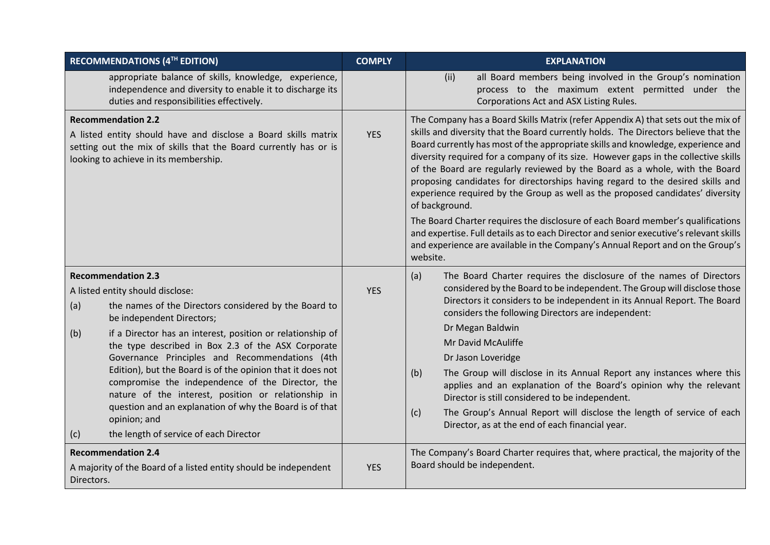| RECOMMENDATIONS (4TH EDITION)                                                                                                                                                                                                                                                                                                                                                                                                                                                                                                                                                                                                                | <b>COMPLY</b> | <b>EXPLANATION</b>                                                                                                                                                                                                                                                                                                                                                                                                                                                                                                                                                                                                                                                                                                                                                                                                                                                                                  |
|----------------------------------------------------------------------------------------------------------------------------------------------------------------------------------------------------------------------------------------------------------------------------------------------------------------------------------------------------------------------------------------------------------------------------------------------------------------------------------------------------------------------------------------------------------------------------------------------------------------------------------------------|---------------|-----------------------------------------------------------------------------------------------------------------------------------------------------------------------------------------------------------------------------------------------------------------------------------------------------------------------------------------------------------------------------------------------------------------------------------------------------------------------------------------------------------------------------------------------------------------------------------------------------------------------------------------------------------------------------------------------------------------------------------------------------------------------------------------------------------------------------------------------------------------------------------------------------|
| appropriate balance of skills, knowledge, experience,<br>independence and diversity to enable it to discharge its<br>duties and responsibilities effectively.                                                                                                                                                                                                                                                                                                                                                                                                                                                                                |               | all Board members being involved in the Group's nomination<br>(ii)<br>process to the maximum extent permitted under the<br>Corporations Act and ASX Listing Rules.                                                                                                                                                                                                                                                                                                                                                                                                                                                                                                                                                                                                                                                                                                                                  |
| <b>Recommendation 2.2</b><br>A listed entity should have and disclose a Board skills matrix<br>setting out the mix of skills that the Board currently has or is<br>looking to achieve in its membership.                                                                                                                                                                                                                                                                                                                                                                                                                                     | <b>YES</b>    | The Company has a Board Skills Matrix (refer Appendix A) that sets out the mix of<br>skills and diversity that the Board currently holds. The Directors believe that the<br>Board currently has most of the appropriate skills and knowledge, experience and<br>diversity required for a company of its size. However gaps in the collective skills<br>of the Board are regularly reviewed by the Board as a whole, with the Board<br>proposing candidates for directorships having regard to the desired skills and<br>experience required by the Group as well as the proposed candidates' diversity<br>of background.<br>The Board Charter requires the disclosure of each Board member's qualifications<br>and expertise. Full details as to each Director and senior executive's relevant skills<br>and experience are available in the Company's Annual Report and on the Group's<br>website. |
| <b>Recommendation 2.3</b><br>A listed entity should disclose:<br>the names of the Directors considered by the Board to<br>(a)<br>be independent Directors;<br>if a Director has an interest, position or relationship of<br>(b)<br>the type described in Box 2.3 of the ASX Corporate<br>Governance Principles and Recommendations (4th<br>Edition), but the Board is of the opinion that it does not<br>compromise the independence of the Director, the<br>nature of the interest, position or relationship in<br>question and an explanation of why the Board is of that<br>opinion; and<br>the length of service of each Director<br>(c) | <b>YES</b>    | (a)<br>The Board Charter requires the disclosure of the names of Directors<br>considered by the Board to be independent. The Group will disclose those<br>Directors it considers to be independent in its Annual Report. The Board<br>considers the following Directors are independent:<br>Dr Megan Baldwin<br>Mr David McAuliffe<br>Dr Jason Loveridge<br>The Group will disclose in its Annual Report any instances where this<br>(b)<br>applies and an explanation of the Board's opinion why the relevant<br>Director is still considered to be independent.<br>The Group's Annual Report will disclose the length of service of each<br>(c)<br>Director, as at the end of each financial year.                                                                                                                                                                                                |
| <b>Recommendation 2.4</b><br>A majority of the Board of a listed entity should be independent<br>Directors.                                                                                                                                                                                                                                                                                                                                                                                                                                                                                                                                  | <b>YES</b>    | The Company's Board Charter requires that, where practical, the majority of the<br>Board should be independent.                                                                                                                                                                                                                                                                                                                                                                                                                                                                                                                                                                                                                                                                                                                                                                                     |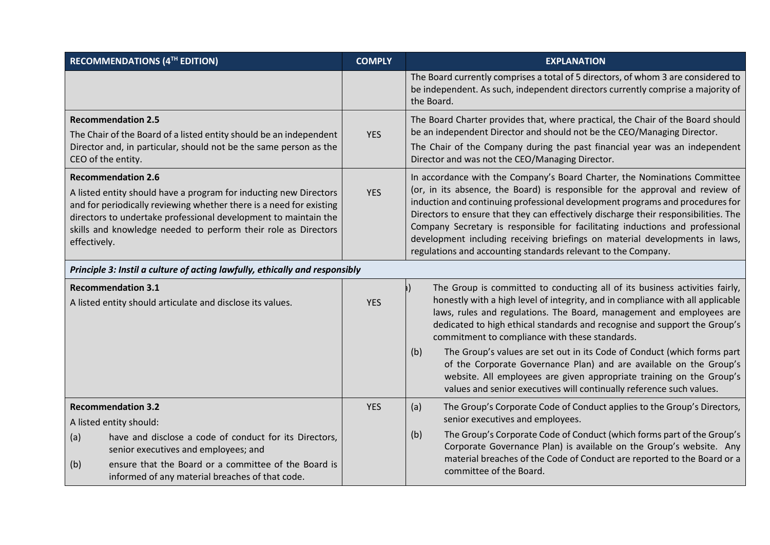| <b>RECOMMENDATIONS (4TH EDITION)</b> |                                                                                                                                                                                                                                                                                                            | <b>COMPLY</b> | <b>EXPLANATION</b>                                                                                                                                                                                                                                                                                                                                                                                                                                                                                                                                                  |  |  |
|--------------------------------------|------------------------------------------------------------------------------------------------------------------------------------------------------------------------------------------------------------------------------------------------------------------------------------------------------------|---------------|---------------------------------------------------------------------------------------------------------------------------------------------------------------------------------------------------------------------------------------------------------------------------------------------------------------------------------------------------------------------------------------------------------------------------------------------------------------------------------------------------------------------------------------------------------------------|--|--|
|                                      |                                                                                                                                                                                                                                                                                                            |               | The Board currently comprises a total of 5 directors, of whom 3 are considered to<br>be independent. As such, independent directors currently comprise a majority of<br>the Board.                                                                                                                                                                                                                                                                                                                                                                                  |  |  |
|                                      | <b>Recommendation 2.5</b><br>The Chair of the Board of a listed entity should be an independent<br>Director and, in particular, should not be the same person as the<br>CEO of the entity.                                                                                                                 | <b>YES</b>    | The Board Charter provides that, where practical, the Chair of the Board should<br>be an independent Director and should not be the CEO/Managing Director.<br>The Chair of the Company during the past financial year was an independent<br>Director and was not the CEO/Managing Director.                                                                                                                                                                                                                                                                         |  |  |
| effectively.                         | <b>Recommendation 2.6</b><br>A listed entity should have a program for inducting new Directors<br>and for periodically reviewing whether there is a need for existing<br>directors to undertake professional development to maintain the<br>skills and knowledge needed to perform their role as Directors | <b>YES</b>    | In accordance with the Company's Board Charter, the Nominations Committee<br>(or, in its absence, the Board) is responsible for the approval and review of<br>induction and continuing professional development programs and procedures for<br>Directors to ensure that they can effectively discharge their responsibilities. The<br>Company Secretary is responsible for facilitating inductions and professional<br>development including receiving briefings on material developments in laws,<br>regulations and accounting standards relevant to the Company. |  |  |
|                                      | Principle 3: Instil a culture of acting lawfully, ethically and responsibly                                                                                                                                                                                                                                |               |                                                                                                                                                                                                                                                                                                                                                                                                                                                                                                                                                                     |  |  |
|                                      | <b>Recommendation 3.1</b><br>A listed entity should articulate and disclose its values.                                                                                                                                                                                                                    | <b>YES</b>    | The Group is committed to conducting all of its business activities fairly,<br>honestly with a high level of integrity, and in compliance with all applicable<br>laws, rules and regulations. The Board, management and employees are<br>dedicated to high ethical standards and recognise and support the Group's<br>commitment to compliance with these standards.                                                                                                                                                                                                |  |  |
|                                      |                                                                                                                                                                                                                                                                                                            |               | (b)<br>The Group's values are set out in its Code of Conduct (which forms part<br>of the Corporate Governance Plan) and are available on the Group's<br>website. All employees are given appropriate training on the Group's<br>values and senior executives will continually reference such values.                                                                                                                                                                                                                                                                |  |  |
|                                      | <b>Recommendation 3.2</b>                                                                                                                                                                                                                                                                                  | <b>YES</b>    | (a)<br>The Group's Corporate Code of Conduct applies to the Group's Directors,<br>senior executives and employees.                                                                                                                                                                                                                                                                                                                                                                                                                                                  |  |  |
| (a)<br>(b)                           | A listed entity should:<br>have and disclose a code of conduct for its Directors,<br>senior executives and employees; and<br>ensure that the Board or a committee of the Board is                                                                                                                          |               | The Group's Corporate Code of Conduct (which forms part of the Group's<br>(b)<br>Corporate Governance Plan) is available on the Group's website. Any<br>material breaches of the Code of Conduct are reported to the Board or a                                                                                                                                                                                                                                                                                                                                     |  |  |
|                                      | informed of any material breaches of that code.                                                                                                                                                                                                                                                            |               | committee of the Board.                                                                                                                                                                                                                                                                                                                                                                                                                                                                                                                                             |  |  |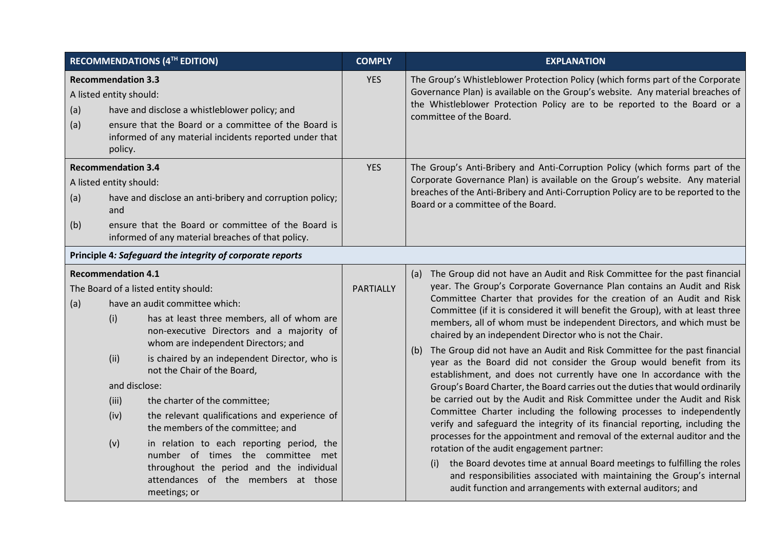| <b>RECOMMENDATIONS (4TH EDITION)</b> |                                                                                   | <b>COMPLY</b>                                                                                                                                                                                                                                                                                                                                                                                                                                                                                                                                                                                         | <b>EXPLANATION</b> |                                                                                                                                                                                                                                                                                                                                                                                                                                                                                                                                                                                                                                                                                                                                                                                                                                                                                                                                                                                                                                                                                                                                                                                                                                                                                                                                                                     |  |
|--------------------------------------|-----------------------------------------------------------------------------------|-------------------------------------------------------------------------------------------------------------------------------------------------------------------------------------------------------------------------------------------------------------------------------------------------------------------------------------------------------------------------------------------------------------------------------------------------------------------------------------------------------------------------------------------------------------------------------------------------------|--------------------|---------------------------------------------------------------------------------------------------------------------------------------------------------------------------------------------------------------------------------------------------------------------------------------------------------------------------------------------------------------------------------------------------------------------------------------------------------------------------------------------------------------------------------------------------------------------------------------------------------------------------------------------------------------------------------------------------------------------------------------------------------------------------------------------------------------------------------------------------------------------------------------------------------------------------------------------------------------------------------------------------------------------------------------------------------------------------------------------------------------------------------------------------------------------------------------------------------------------------------------------------------------------------------------------------------------------------------------------------------------------|--|
| (a)<br>(a)                           | <b>Recommendation 3.3</b><br>A listed entity should:<br>policy.                   | have and disclose a whistleblower policy; and<br>ensure that the Board or a committee of the Board is<br>informed of any material incidents reported under that                                                                                                                                                                                                                                                                                                                                                                                                                                       | <b>YES</b>         | The Group's Whistleblower Protection Policy (which forms part of the Corporate<br>Governance Plan) is available on the Group's website. Any material breaches of<br>the Whistleblower Protection Policy are to be reported to the Board or a<br>committee of the Board.                                                                                                                                                                                                                                                                                                                                                                                                                                                                                                                                                                                                                                                                                                                                                                                                                                                                                                                                                                                                                                                                                             |  |
| (a)<br>(b)                           | <b>Recommendation 3.4</b><br>A listed entity should:<br>and                       | have and disclose an anti-bribery and corruption policy;<br>ensure that the Board or committee of the Board is<br>informed of any material breaches of that policy.                                                                                                                                                                                                                                                                                                                                                                                                                                   | <b>YES</b>         | The Group's Anti-Bribery and Anti-Corruption Policy (which forms part of the<br>Corporate Governance Plan) is available on the Group's website. Any material<br>breaches of the Anti-Bribery and Anti-Corruption Policy are to be reported to the<br>Board or a committee of the Board.                                                                                                                                                                                                                                                                                                                                                                                                                                                                                                                                                                                                                                                                                                                                                                                                                                                                                                                                                                                                                                                                             |  |
|                                      |                                                                                   | Principle 4: Safeguard the integrity of corporate reports                                                                                                                                                                                                                                                                                                                                                                                                                                                                                                                                             |                    |                                                                                                                                                                                                                                                                                                                                                                                                                                                                                                                                                                                                                                                                                                                                                                                                                                                                                                                                                                                                                                                                                                                                                                                                                                                                                                                                                                     |  |
| (a)                                  | <b>Recommendation 4.1</b><br>(i)<br>(ii)<br>and disclose:<br>(iii)<br>(iv)<br>(v) | The Board of a listed entity should:<br>have an audit committee which:<br>has at least three members, all of whom are<br>non-executive Directors and a majority of<br>whom are independent Directors; and<br>is chaired by an independent Director, who is<br>not the Chair of the Board,<br>the charter of the committee;<br>the relevant qualifications and experience of<br>the members of the committee; and<br>in relation to each reporting period, the<br>number of times the committee met<br>throughout the period and the individual<br>attendances of the members at those<br>meetings; or | PARTIALLY          | (a) The Group did not have an Audit and Risk Committee for the past financial<br>year. The Group's Corporate Governance Plan contains an Audit and Risk<br>Committee Charter that provides for the creation of an Audit and Risk<br>Committee (if it is considered it will benefit the Group), with at least three<br>members, all of whom must be independent Directors, and which must be<br>chaired by an independent Director who is not the Chair.<br>The Group did not have an Audit and Risk Committee for the past financial<br>(b)<br>year as the Board did not consider the Group would benefit from its<br>establishment, and does not currently have one In accordance with the<br>Group's Board Charter, the Board carries out the duties that would ordinarily<br>be carried out by the Audit and Risk Committee under the Audit and Risk<br>Committee Charter including the following processes to independently<br>verify and safeguard the integrity of its financial reporting, including the<br>processes for the appointment and removal of the external auditor and the<br>rotation of the audit engagement partner:<br>the Board devotes time at annual Board meetings to fulfilling the roles<br>(i)<br>and responsibilities associated with maintaining the Group's internal<br>audit function and arrangements with external auditors; and |  |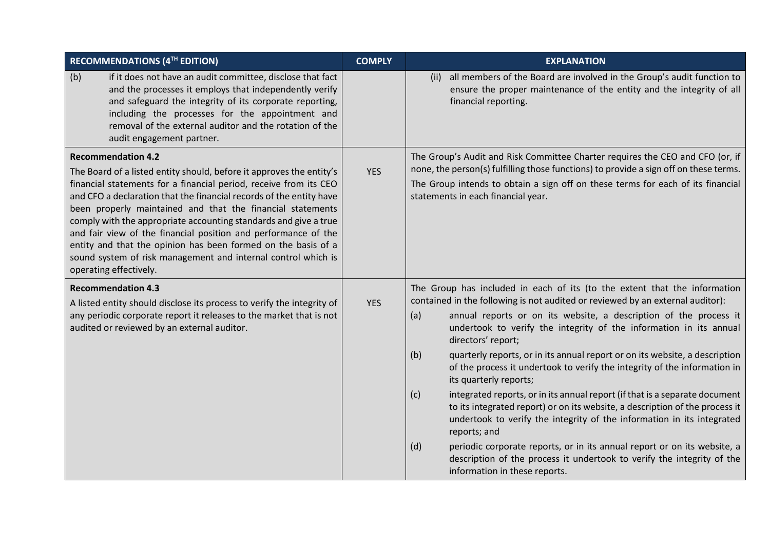| RECOMMENDATIONS (4TH EDITION)                                                                                                                                                                                                                                                                                                                                                                                                                                                                                                                                                                                 | <b>COMPLY</b> | <b>EXPLANATION</b>                                                                                                                                                                                                                                                                                                                                                                                                                                                                                                                                                                                                                                                                                                                                                                                                                                                                                                                                                                             |
|---------------------------------------------------------------------------------------------------------------------------------------------------------------------------------------------------------------------------------------------------------------------------------------------------------------------------------------------------------------------------------------------------------------------------------------------------------------------------------------------------------------------------------------------------------------------------------------------------------------|---------------|------------------------------------------------------------------------------------------------------------------------------------------------------------------------------------------------------------------------------------------------------------------------------------------------------------------------------------------------------------------------------------------------------------------------------------------------------------------------------------------------------------------------------------------------------------------------------------------------------------------------------------------------------------------------------------------------------------------------------------------------------------------------------------------------------------------------------------------------------------------------------------------------------------------------------------------------------------------------------------------------|
| if it does not have an audit committee, disclose that fact<br>(b)<br>and the processes it employs that independently verify<br>and safeguard the integrity of its corporate reporting,<br>including the processes for the appointment and<br>removal of the external auditor and the rotation of the<br>audit engagement partner.                                                                                                                                                                                                                                                                             |               | all members of the Board are involved in the Group's audit function to<br>(ii)<br>ensure the proper maintenance of the entity and the integrity of all<br>financial reporting.                                                                                                                                                                                                                                                                                                                                                                                                                                                                                                                                                                                                                                                                                                                                                                                                                 |
| <b>Recommendation 4.2</b><br>The Board of a listed entity should, before it approves the entity's<br>financial statements for a financial period, receive from its CEO<br>and CFO a declaration that the financial records of the entity have<br>been properly maintained and that the financial statements<br>comply with the appropriate accounting standards and give a true<br>and fair view of the financial position and performance of the<br>entity and that the opinion has been formed on the basis of a<br>sound system of risk management and internal control which is<br>operating effectively. | <b>YES</b>    | The Group's Audit and Risk Committee Charter requires the CEO and CFO (or, if<br>none, the person(s) fulfilling those functions) to provide a sign off on these terms.<br>The Group intends to obtain a sign off on these terms for each of its financial<br>statements in each financial year.                                                                                                                                                                                                                                                                                                                                                                                                                                                                                                                                                                                                                                                                                                |
| <b>Recommendation 4.3</b><br>A listed entity should disclose its process to verify the integrity of<br>any periodic corporate report it releases to the market that is not<br>audited or reviewed by an external auditor.                                                                                                                                                                                                                                                                                                                                                                                     | <b>YES</b>    | The Group has included in each of its (to the extent that the information<br>contained in the following is not audited or reviewed by an external auditor):<br>annual reports or on its website, a description of the process it<br>(a)<br>undertook to verify the integrity of the information in its annual<br>directors' report;<br>quarterly reports, or in its annual report or on its website, a description<br>(b)<br>of the process it undertook to verify the integrity of the information in<br>its quarterly reports;<br>integrated reports, or in its annual report (if that is a separate document<br>(c)<br>to its integrated report) or on its website, a description of the process it<br>undertook to verify the integrity of the information in its integrated<br>reports; and<br>periodic corporate reports, or in its annual report or on its website, a<br>(d)<br>description of the process it undertook to verify the integrity of the<br>information in these reports. |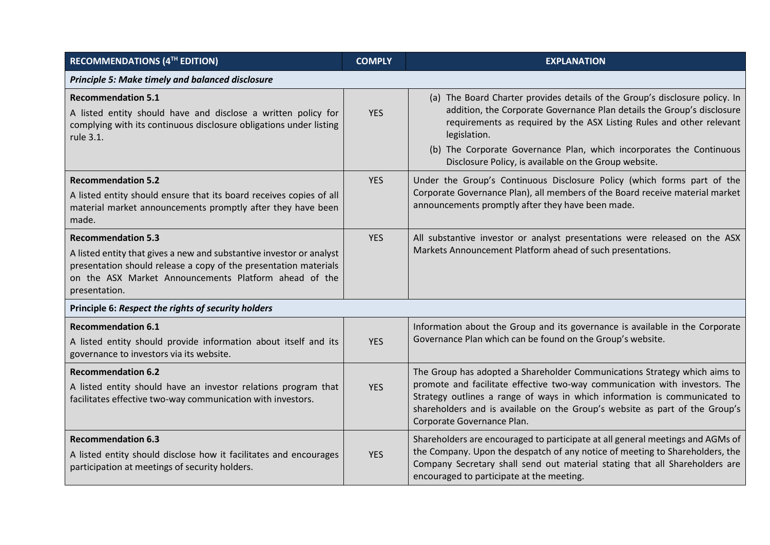| <b>RECOMMENDATIONS (4TH EDITION)</b>                                                                                                                                                                                                            | <b>COMPLY</b> | <b>EXPLANATION</b>                                                                                                                                                                                                                                                                                                                                                             |  |  |  |  |
|-------------------------------------------------------------------------------------------------------------------------------------------------------------------------------------------------------------------------------------------------|---------------|--------------------------------------------------------------------------------------------------------------------------------------------------------------------------------------------------------------------------------------------------------------------------------------------------------------------------------------------------------------------------------|--|--|--|--|
| Principle 5: Make timely and balanced disclosure                                                                                                                                                                                                |               |                                                                                                                                                                                                                                                                                                                                                                                |  |  |  |  |
| <b>Recommendation 5.1</b><br>A listed entity should have and disclose a written policy for<br>complying with its continuous disclosure obligations under listing<br>rule 3.1.                                                                   | <b>YES</b>    | (a) The Board Charter provides details of the Group's disclosure policy. In<br>addition, the Corporate Governance Plan details the Group's disclosure<br>requirements as required by the ASX Listing Rules and other relevant<br>legislation.<br>(b) The Corporate Governance Plan, which incorporates the Continuous<br>Disclosure Policy, is available on the Group website. |  |  |  |  |
| <b>Recommendation 5.2</b><br>A listed entity should ensure that its board receives copies of all<br>material market announcements promptly after they have been<br>made.                                                                        | <b>YES</b>    | Under the Group's Continuous Disclosure Policy (which forms part of the<br>Corporate Governance Plan), all members of the Board receive material market<br>announcements promptly after they have been made.                                                                                                                                                                   |  |  |  |  |
| <b>Recommendation 5.3</b><br>A listed entity that gives a new and substantive investor or analyst<br>presentation should release a copy of the presentation materials<br>on the ASX Market Announcements Platform ahead of the<br>presentation. | <b>YES</b>    | All substantive investor or analyst presentations were released on the ASX<br>Markets Announcement Platform ahead of such presentations.                                                                                                                                                                                                                                       |  |  |  |  |
| Principle 6: Respect the rights of security holders                                                                                                                                                                                             |               |                                                                                                                                                                                                                                                                                                                                                                                |  |  |  |  |
| <b>Recommendation 6.1</b><br>A listed entity should provide information about itself and its<br>governance to investors via its website.                                                                                                        | <b>YES</b>    | Information about the Group and its governance is available in the Corporate<br>Governance Plan which can be found on the Group's website.                                                                                                                                                                                                                                     |  |  |  |  |
| <b>Recommendation 6.2</b><br>A listed entity should have an investor relations program that<br>facilitates effective two-way communication with investors.                                                                                      | <b>YES</b>    | The Group has adopted a Shareholder Communications Strategy which aims to<br>promote and facilitate effective two-way communication with investors. The<br>Strategy outlines a range of ways in which information is communicated to<br>shareholders and is available on the Group's website as part of the Group's<br>Corporate Governance Plan.                              |  |  |  |  |
| <b>Recommendation 6.3</b><br>A listed entity should disclose how it facilitates and encourages<br>participation at meetings of security holders.                                                                                                | <b>YES</b>    | Shareholders are encouraged to participate at all general meetings and AGMs of<br>the Company. Upon the despatch of any notice of meeting to Shareholders, the<br>Company Secretary shall send out material stating that all Shareholders are<br>encouraged to participate at the meeting.                                                                                     |  |  |  |  |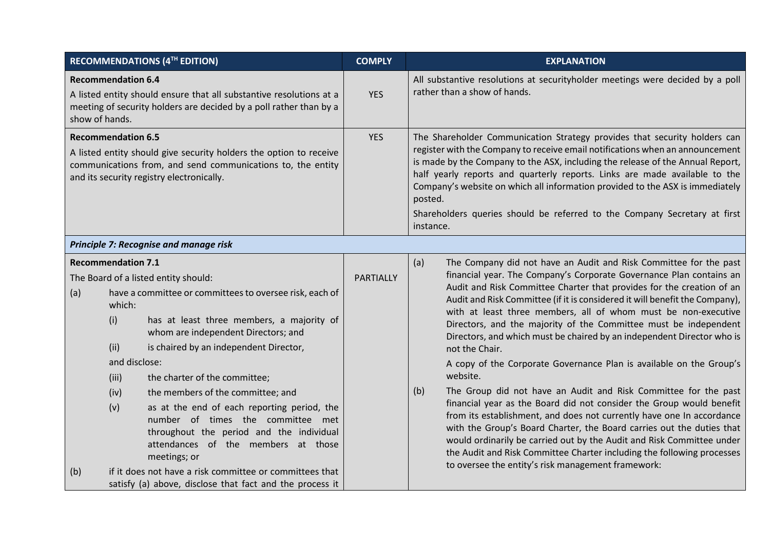| <b>RECOMMENDATIONS (4TH EDITION)</b>                                                                                                                                                                        |                                                                                             |                                                                                                                                                                                                                                                                                                                                                                                                                                                                                                                                                       | <b>COMPLY</b>    | <b>EXPLANATION</b>                                                                                                                                                                                                                                                                                                                                                                                                                                                                                                                                                                                                                                                                                                                                                                                                                                                                                                                                                                                                                                                                                                                        |
|-------------------------------------------------------------------------------------------------------------------------------------------------------------------------------------------------------------|---------------------------------------------------------------------------------------------|-------------------------------------------------------------------------------------------------------------------------------------------------------------------------------------------------------------------------------------------------------------------------------------------------------------------------------------------------------------------------------------------------------------------------------------------------------------------------------------------------------------------------------------------------------|------------------|-------------------------------------------------------------------------------------------------------------------------------------------------------------------------------------------------------------------------------------------------------------------------------------------------------------------------------------------------------------------------------------------------------------------------------------------------------------------------------------------------------------------------------------------------------------------------------------------------------------------------------------------------------------------------------------------------------------------------------------------------------------------------------------------------------------------------------------------------------------------------------------------------------------------------------------------------------------------------------------------------------------------------------------------------------------------------------------------------------------------------------------------|
| <b>Recommendation 6.4</b><br>A listed entity should ensure that all substantive resolutions at a<br>meeting of security holders are decided by a poll rather than by a<br>show of hands.                    |                                                                                             |                                                                                                                                                                                                                                                                                                                                                                                                                                                                                                                                                       | <b>YES</b>       | All substantive resolutions at securityholder meetings were decided by a poll<br>rather than a show of hands.                                                                                                                                                                                                                                                                                                                                                                                                                                                                                                                                                                                                                                                                                                                                                                                                                                                                                                                                                                                                                             |
| <b>Recommendation 6.5</b><br>A listed entity should give security holders the option to receive<br>communications from, and send communications to, the entity<br>and its security registry electronically. |                                                                                             |                                                                                                                                                                                                                                                                                                                                                                                                                                                                                                                                                       | <b>YES</b>       | The Shareholder Communication Strategy provides that security holders can<br>register with the Company to receive email notifications when an announcement<br>is made by the Company to the ASX, including the release of the Annual Report,<br>half yearly reports and quarterly reports. Links are made available to the<br>Company's website on which all information provided to the ASX is immediately<br>posted.<br>Shareholders queries should be referred to the Company Secretary at first<br>instance.                                                                                                                                                                                                                                                                                                                                                                                                                                                                                                                                                                                                                          |
|                                                                                                                                                                                                             |                                                                                             | Principle 7: Recognise and manage risk                                                                                                                                                                                                                                                                                                                                                                                                                                                                                                                |                  |                                                                                                                                                                                                                                                                                                                                                                                                                                                                                                                                                                                                                                                                                                                                                                                                                                                                                                                                                                                                                                                                                                                                           |
| (a)<br>(b)                                                                                                                                                                                                  | <b>Recommendation 7.1</b><br>which:<br>(i)<br>(ii)<br>and disclose:<br>(iii)<br>(iv)<br>(v) | The Board of a listed entity should:<br>have a committee or committees to oversee risk, each of<br>has at least three members, a majority of<br>whom are independent Directors; and<br>is chaired by an independent Director,<br>the charter of the committee;<br>the members of the committee; and<br>as at the end of each reporting period, the<br>number of times the committee met<br>throughout the period and the individual<br>attendances of the members at those<br>meetings; or<br>if it does not have a risk committee or committees that | <b>PARTIALLY</b> | (a)<br>The Company did not have an Audit and Risk Committee for the past<br>financial year. The Company's Corporate Governance Plan contains an<br>Audit and Risk Committee Charter that provides for the creation of an<br>Audit and Risk Committee (if it is considered it will benefit the Company),<br>with at least three members, all of whom must be non-executive<br>Directors, and the majority of the Committee must be independent<br>Directors, and which must be chaired by an independent Director who is<br>not the Chair.<br>A copy of the Corporate Governance Plan is available on the Group's<br>website.<br>The Group did not have an Audit and Risk Committee for the past<br>(b)<br>financial year as the Board did not consider the Group would benefit<br>from its establishment, and does not currently have one In accordance<br>with the Group's Board Charter, the Board carries out the duties that<br>would ordinarily be carried out by the Audit and Risk Committee under<br>the Audit and Risk Committee Charter including the following processes<br>to oversee the entity's risk management framework: |
|                                                                                                                                                                                                             |                                                                                             | satisfy (a) above, disclose that fact and the process it                                                                                                                                                                                                                                                                                                                                                                                                                                                                                              |                  |                                                                                                                                                                                                                                                                                                                                                                                                                                                                                                                                                                                                                                                                                                                                                                                                                                                                                                                                                                                                                                                                                                                                           |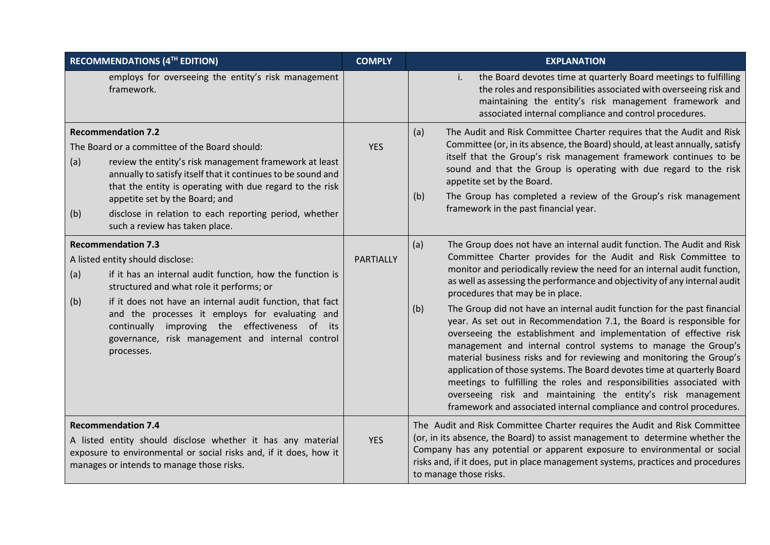|            | <b>RECOMMENDATIONS (4TH EDITION)</b>                                                                                                                                                                                                                                                                                                                                                                       | <b>COMPLY</b> | <b>EXPLANATION</b>                                                                                                                                                                                                                                                                                                                                                                                                                                                                                                                                                                                                                                                                                                                                                                                                                                                                                                                                                                                                 |
|------------|------------------------------------------------------------------------------------------------------------------------------------------------------------------------------------------------------------------------------------------------------------------------------------------------------------------------------------------------------------------------------------------------------------|---------------|--------------------------------------------------------------------------------------------------------------------------------------------------------------------------------------------------------------------------------------------------------------------------------------------------------------------------------------------------------------------------------------------------------------------------------------------------------------------------------------------------------------------------------------------------------------------------------------------------------------------------------------------------------------------------------------------------------------------------------------------------------------------------------------------------------------------------------------------------------------------------------------------------------------------------------------------------------------------------------------------------------------------|
|            | employs for overseeing the entity's risk management<br>framework.                                                                                                                                                                                                                                                                                                                                          |               | the Board devotes time at quarterly Board meetings to fulfilling<br>i.<br>the roles and responsibilities associated with overseeing risk and<br>maintaining the entity's risk management framework and<br>associated internal compliance and control procedures.                                                                                                                                                                                                                                                                                                                                                                                                                                                                                                                                                                                                                                                                                                                                                   |
| (a)<br>(b) | <b>Recommendation 7.2</b><br>The Board or a committee of the Board should:<br>review the entity's risk management framework at least<br>annually to satisfy itself that it continues to be sound and<br>that the entity is operating with due regard to the risk<br>appetite set by the Board; and<br>disclose in relation to each reporting period, whether<br>such a review has taken place.             | <b>YES</b>    | The Audit and Risk Committee Charter requires that the Audit and Risk<br>(a)<br>Committee (or, in its absence, the Board) should, at least annually, satisfy<br>itself that the Group's risk management framework continues to be<br>sound and that the Group is operating with due regard to the risk<br>appetite set by the Board.<br>The Group has completed a review of the Group's risk management<br>(b)<br>framework in the past financial year.                                                                                                                                                                                                                                                                                                                                                                                                                                                                                                                                                            |
| (a)<br>(b) | <b>Recommendation 7.3</b><br>A listed entity should disclose:<br>if it has an internal audit function, how the function is<br>structured and what role it performs; or<br>if it does not have an internal audit function, that fact<br>and the processes it employs for evaluating and<br>continually improving the effectiveness of its<br>governance, risk management and internal control<br>processes. | PARTIALLY     | (a)<br>The Group does not have an internal audit function. The Audit and Risk<br>Committee Charter provides for the Audit and Risk Committee to<br>monitor and periodically review the need for an internal audit function,<br>as well as assessing the performance and objectivity of any internal audit<br>procedures that may be in place.<br>The Group did not have an internal audit function for the past financial<br>(b)<br>year. As set out in Recommendation 7.1, the Board is responsible for<br>overseeing the establishment and implementation of effective risk<br>management and internal control systems to manage the Group's<br>material business risks and for reviewing and monitoring the Group's<br>application of those systems. The Board devotes time at quarterly Board<br>meetings to fulfilling the roles and responsibilities associated with<br>overseeing risk and maintaining the entity's risk management<br>framework and associated internal compliance and control procedures. |
|            | <b>Recommendation 7.4</b><br>A listed entity should disclose whether it has any material<br>exposure to environmental or social risks and, if it does, how it<br>manages or intends to manage those risks.                                                                                                                                                                                                 | <b>YES</b>    | The Audit and Risk Committee Charter requires the Audit and Risk Committee<br>(or, in its absence, the Board) to assist management to determine whether the<br>Company has any potential or apparent exposure to environmental or social<br>risks and, if it does, put in place management systems, practices and procedures<br>to manage those risks.                                                                                                                                                                                                                                                                                                                                                                                                                                                                                                                                                                                                                                                             |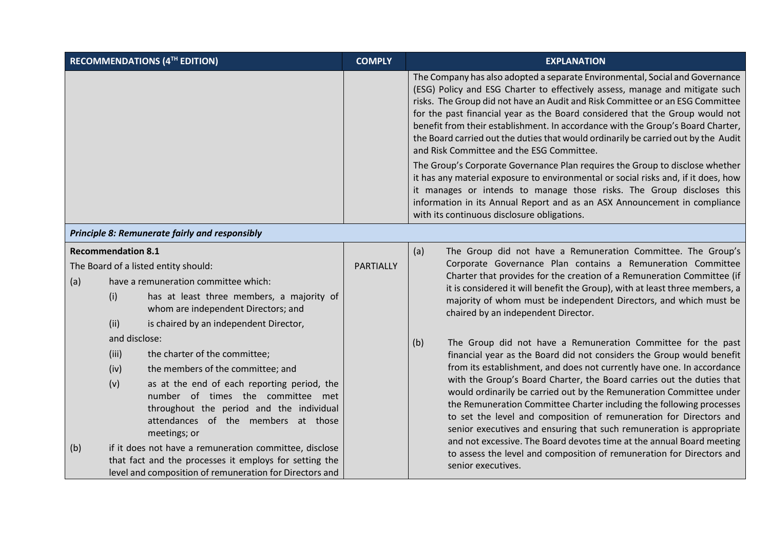| <b>RECOMMENDATIONS (4TH EDITION)</b> |               | <b>COMPLY</b>                                                                                                                                                                       | <b>EXPLANATION</b>                                                  |                                                                                                                                                                                                                                                                                                                                                                                                                                                                                                                                                                                                                                                                                                                                                                                                                                                                                                                                |
|--------------------------------------|---------------|-------------------------------------------------------------------------------------------------------------------------------------------------------------------------------------|---------------------------------------------------------------------|--------------------------------------------------------------------------------------------------------------------------------------------------------------------------------------------------------------------------------------------------------------------------------------------------------------------------------------------------------------------------------------------------------------------------------------------------------------------------------------------------------------------------------------------------------------------------------------------------------------------------------------------------------------------------------------------------------------------------------------------------------------------------------------------------------------------------------------------------------------------------------------------------------------------------------|
|                                      |               |                                                                                                                                                                                     |                                                                     | The Company has also adopted a separate Environmental, Social and Governance<br>(ESG) Policy and ESG Charter to effectively assess, manage and mitigate such<br>risks. The Group did not have an Audit and Risk Committee or an ESG Committee<br>for the past financial year as the Board considered that the Group would not<br>benefit from their establishment. In accordance with the Group's Board Charter,<br>the Board carried out the duties that would ordinarily be carried out by the Audit<br>and Risk Committee and the ESG Committee.<br>The Group's Corporate Governance Plan requires the Group to disclose whether<br>it has any material exposure to environmental or social risks and, if it does, how<br>it manages or intends to manage those risks. The Group discloses this<br>information in its Annual Report and as an ASX Announcement in compliance<br>with its continuous disclosure obligations. |
|                                      |               | Principle 8: Remunerate fairly and responsibly                                                                                                                                      |                                                                     |                                                                                                                                                                                                                                                                                                                                                                                                                                                                                                                                                                                                                                                                                                                                                                                                                                                                                                                                |
| <b>Recommendation 8.1</b>            |               |                                                                                                                                                                                     | (a)<br>The Group did not have a Remuneration Committee. The Group's |                                                                                                                                                                                                                                                                                                                                                                                                                                                                                                                                                                                                                                                                                                                                                                                                                                                                                                                                |
|                                      |               | The Board of a listed entity should:                                                                                                                                                | <b>PARTIALLY</b>                                                    | Corporate Governance Plan contains a Remuneration Committee<br>Charter that provides for the creation of a Remuneration Committee (if                                                                                                                                                                                                                                                                                                                                                                                                                                                                                                                                                                                                                                                                                                                                                                                          |
| (a)                                  |               | have a remuneration committee which:                                                                                                                                                |                                                                     | it is considered it will benefit the Group), with at least three members, a                                                                                                                                                                                                                                                                                                                                                                                                                                                                                                                                                                                                                                                                                                                                                                                                                                                    |
|                                      | (i)           | has at least three members, a majority of<br>whom are independent Directors; and                                                                                                    |                                                                     | majority of whom must be independent Directors, and which must be<br>chaired by an independent Director.                                                                                                                                                                                                                                                                                                                                                                                                                                                                                                                                                                                                                                                                                                                                                                                                                       |
|                                      | (ii)          | is chaired by an independent Director,                                                                                                                                              |                                                                     |                                                                                                                                                                                                                                                                                                                                                                                                                                                                                                                                                                                                                                                                                                                                                                                                                                                                                                                                |
|                                      | and disclose: |                                                                                                                                                                                     |                                                                     | The Group did not have a Remuneration Committee for the past<br>(b)                                                                                                                                                                                                                                                                                                                                                                                                                                                                                                                                                                                                                                                                                                                                                                                                                                                            |
|                                      | (iii)         | the charter of the committee;                                                                                                                                                       |                                                                     | financial year as the Board did not considers the Group would benefit                                                                                                                                                                                                                                                                                                                                                                                                                                                                                                                                                                                                                                                                                                                                                                                                                                                          |
|                                      | (iv)          | the members of the committee; and                                                                                                                                                   |                                                                     | from its establishment, and does not currently have one. In accordance                                                                                                                                                                                                                                                                                                                                                                                                                                                                                                                                                                                                                                                                                                                                                                                                                                                         |
|                                      | (v)           | as at the end of each reporting period, the<br>number of times the committee met<br>throughout the period and the individual<br>attendances of the members at those<br>meetings; or |                                                                     | with the Group's Board Charter, the Board carries out the duties that<br>would ordinarily be carried out by the Remuneration Committee under<br>the Remuneration Committee Charter including the following processes<br>to set the level and composition of remuneration for Directors and<br>senior executives and ensuring that such remuneration is appropriate                                                                                                                                                                                                                                                                                                                                                                                                                                                                                                                                                             |
| (b)                                  |               | if it does not have a remuneration committee, disclose<br>that fact and the processes it employs for setting the<br>level and composition of remuneration for Directors and         |                                                                     | and not excessive. The Board devotes time at the annual Board meeting<br>to assess the level and composition of remuneration for Directors and<br>senior executives.                                                                                                                                                                                                                                                                                                                                                                                                                                                                                                                                                                                                                                                                                                                                                           |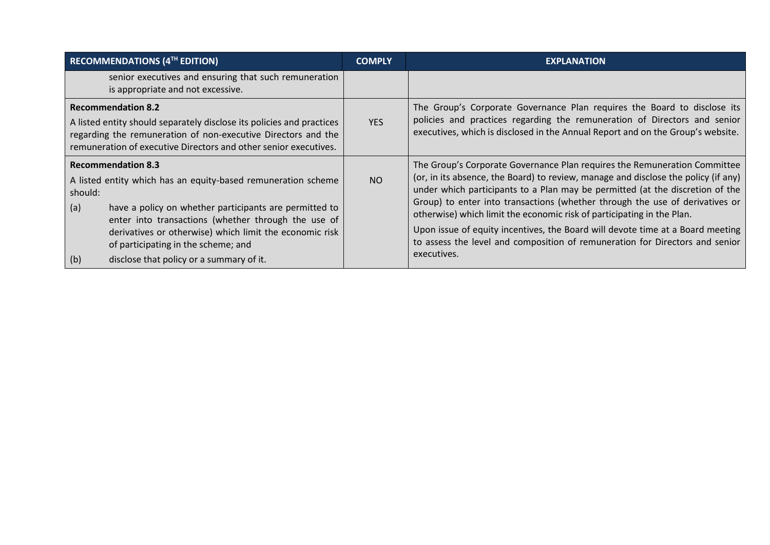| <b>RECOMMENDATIONS (4TH EDITION)</b>                                                                                                                                                                                                                                                                                                                                               | <b>COMPLY</b> | <b>EXPLANATION</b>                                                                                                                                                                                                                                                                                                                                                                                                                                                                                                                                                                          |
|------------------------------------------------------------------------------------------------------------------------------------------------------------------------------------------------------------------------------------------------------------------------------------------------------------------------------------------------------------------------------------|---------------|---------------------------------------------------------------------------------------------------------------------------------------------------------------------------------------------------------------------------------------------------------------------------------------------------------------------------------------------------------------------------------------------------------------------------------------------------------------------------------------------------------------------------------------------------------------------------------------------|
| senior executives and ensuring that such remuneration<br>is appropriate and not excessive.                                                                                                                                                                                                                                                                                         |               |                                                                                                                                                                                                                                                                                                                                                                                                                                                                                                                                                                                             |
| <b>Recommendation 8.2</b><br>A listed entity should separately disclose its policies and practices<br>regarding the remuneration of non-executive Directors and the<br>remuneration of executive Directors and other senior executives.                                                                                                                                            | <b>YES</b>    | The Group's Corporate Governance Plan requires the Board to disclose its<br>policies and practices regarding the remuneration of Directors and senior<br>executives, which is disclosed in the Annual Report and on the Group's website.                                                                                                                                                                                                                                                                                                                                                    |
| <b>Recommendation 8.3</b><br>A listed entity which has an equity-based remuneration scheme<br>should:<br>have a policy on whether participants are permitted to<br>(a)<br>enter into transactions (whether through the use of<br>derivatives or otherwise) which limit the economic risk<br>of participating in the scheme; and<br>disclose that policy or a summary of it.<br>(b) | <b>NO</b>     | The Group's Corporate Governance Plan requires the Remuneration Committee<br>(or, in its absence, the Board) to review, manage and disclose the policy (if any)<br>under which participants to a Plan may be permitted (at the discretion of the<br>Group) to enter into transactions (whether through the use of derivatives or<br>otherwise) which limit the economic risk of participating in the Plan.<br>Upon issue of equity incentives, the Board will devote time at a Board meeting<br>to assess the level and composition of remuneration for Directors and senior<br>executives. |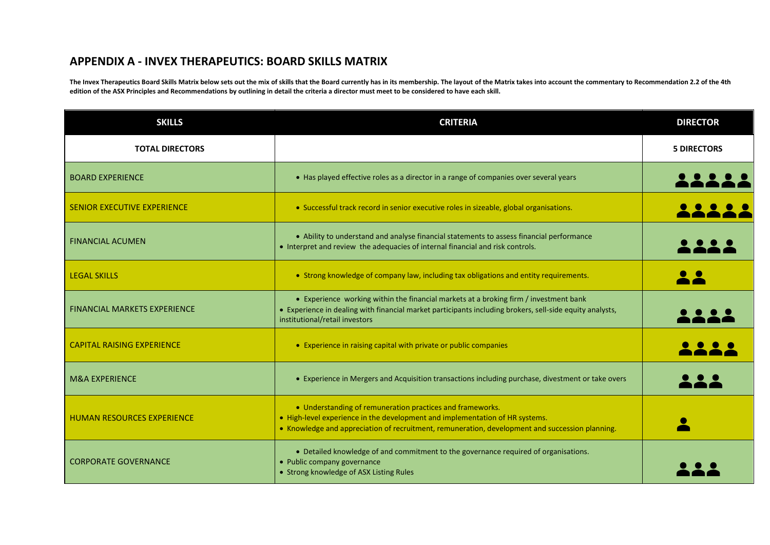## **APPENDIX A - INVEX THERAPEUTICS: BOARD SKILLS MATRIX**

The Invex Therapeutics Board Skills Matrix below sets out the mix of skills that the Board currently has in its membership. The layout of the Matrix takes into account the commentary to Recommendation 2.2 of the 4th **edition of the ASX Principles and Recommendations by outlining in detail the criteria a director must meet to be considered to have each skill.**

| <b>SKILLS</b>                       | <b>CRITERIA</b>                                                                                                                                                                                                                              | <b>DIRECTOR</b>    |
|-------------------------------------|----------------------------------------------------------------------------------------------------------------------------------------------------------------------------------------------------------------------------------------------|--------------------|
| <b>TOTAL DIRECTORS</b>              |                                                                                                                                                                                                                                              | <b>5 DIRECTORS</b> |
| <b>BOARD EXPERIENCE</b>             | • Has played effective roles as a director in a range of companies over several years                                                                                                                                                        |                    |
| <b>SENIOR EXECUTIVE EXPERIENCE</b>  | • Successful track record in senior executive roles in sizeable, global organisations.                                                                                                                                                       |                    |
| <b>FINANCIAL ACUMEN</b>             | • Ability to understand and analyse financial statements to assess financial performance<br>• Interpret and review the adequacies of internal financial and risk controls.                                                                   |                    |
| <b>LEGAL SKILLS</b>                 | • Strong knowledge of company law, including tax obligations and entity requirements.                                                                                                                                                        |                    |
| <b>FINANCIAL MARKETS EXPERIENCE</b> | • Experience working within the financial markets at a broking firm / investment bank<br>• Experience in dealing with financial market participants including brokers, sell-side equity analysts,<br>institutional/retail investors          |                    |
| <b>CAPITAL RAISING EXPERIENCE</b>   | • Experience in raising capital with private or public companies                                                                                                                                                                             |                    |
| <b>M&amp;A EXPERIENCE</b>           | • Experience in Mergers and Acquisition transactions including purchase, divestment or take overs                                                                                                                                            |                    |
| <b>HUMAN RESOURCES EXPERIENCE</b>   | • Understanding of remuneration practices and frameworks.<br>• High-level experience in the development and implementation of HR systems.<br>• Knowledge and appreciation of recruitment, remuneration, development and succession planning. |                    |
| <b>CORPORATE GOVERNANCE</b>         | • Detailed knowledge of and commitment to the governance required of organisations.<br>• Public company governance<br>• Strong knowledge of ASX Listing Rules                                                                                |                    |